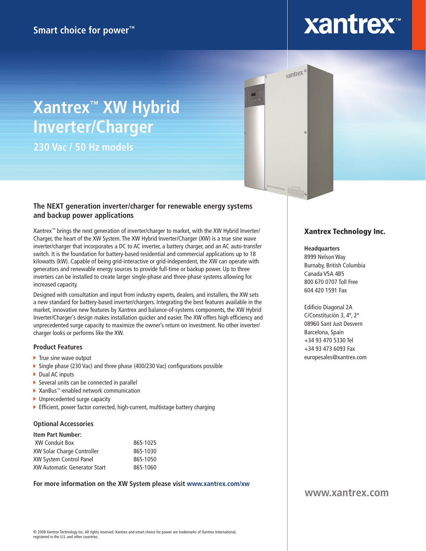# **xantrex**

# **Xantrex™ XW Hybrid Inverter/Charger**

**230 Vac / 50 Hz models**

### **The NEXT generation inverter/charger for renewable energy systems and backup power applications**

Xantrex™ brings the next generation of inverter/charger to market, with the XW Hybrid Inverter/ Charger, the heart of the XW System. The XW Hybrid Inverter/Charger (XW) is a true sine wave inverter/charger that incorporates a DC to AC inverter, a battery charger, and an AC auto-transfer switch. It is the foundation for battery-based residential and commercial applications up to 18 kilowatts (kW). Capable of being grid-interactive or grid-independent, the XW can operate with generators and renewable energy sources to provide full-time or backup power. Up to three inverters can be installed to create larger single-phase and three-phase systems allowing for increased capacity.

Designed with consultation and input from industry experts, dealers, and installers, the XW sets a new standard for battery-based inverter/chargers. Integrating the best features available in the market, innovative new features by Xantrex and balance-of-systems components, the XW Hybrid Inverter/Charger's design makes installation quicker and easier. The XW offers high efficiency and unprecedented surge capacity to maximize the owner's return on investment. No other inverter/ charger looks or performs like the XW.

#### **Product Features**

- $\blacktriangleright$  True sine wave output
- Single phase (230 Vac) and three phase (400/230 Vac) configurations possible
- ▶ Dual AC inputs
- ▶ Several units can be connected in parallel
- ▶ XanBus™-enabled network communication
- ▶ Unprecedented surge capacity
- Efficient, power factor corrected, high-current, multistage battery charging

#### **Optional Accessories**

| <b>Item Part Number:</b>            |          |
|-------------------------------------|----------|
| XW Conduit Box                      | 865-1025 |
| XW Solar Charge Controller          | 865-1030 |
| XW System Control Panel             | 865-1050 |
| <b>XW Automatic Generator Start</b> | 865-1060 |

**For more information on the XW System please visit www.xantrex.com/xw**

### Xantrex Technology Inc.

#### **Headquarters**

<sub>xantrex</sub> of

8999 Nelson Way Burnaby, British Columbia Canada V5A 4B5 800 670 0707 Toll Free 604 420 1591 Fax

Edificio Diagonal 2A C/Constitución 3, 4º, 2ª 08960 Sant Just Desvern Barcelona, Spain +34 93 470 5330 Tel +34 93 473 6093 Fax europesales@xantrex.com

## **www.xantrex.com**